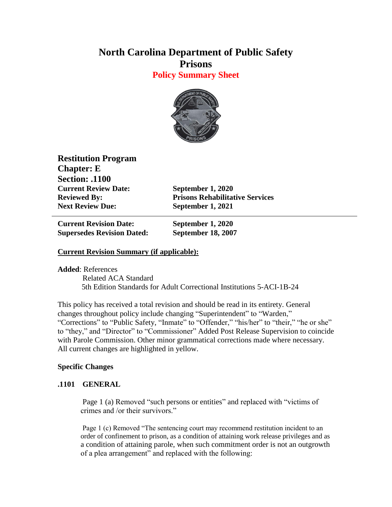# **North Carolina Department of Public Safety Prisons**

**Policy Summary Sheet**



**Restitution Program Chapter: E Section: .1100 Current Review Date: September 1, 2020 Next Review Due: September 1, 2021**

**Reviewed By: Prisons Rehabilitative Services**

**Current Revision Date: September 1, 2020 Supersedes Revision Dated: September 18, 2007**

## **Current Revision Summary (if applicable):**

**Added**: References

 Related ACA Standard 5th Edition Standards for Adult Correctional Institutions 5-ACI-1B-24

This policy has received a total revision and should be read in its entirety. General changes throughout policy include changing "Superintendent" to "Warden," "Corrections" to "Public Safety, "Inmate" to "Offender," "his/her" to "their," "he or she" to "they," and "Director" to "Commissioner" Added Post Release Supervision to coincide with Parole Commission. Other minor grammatical corrections made where necessary. All current changes are highlighted in yellow.

## **Specific Changes**

## **.1101 GENERAL**

Page 1 (a) Removed "such persons or entities" and replaced with "victims of crimes and /or their survivors."

Page 1 (c) Removed "The sentencing court may recommend restitution incident to an order of confinement to prison, as a condition of attaining work release privileges and as a condition of attaining parole, when such commitment order is not an outgrowth of a plea arrangement" and replaced with the following: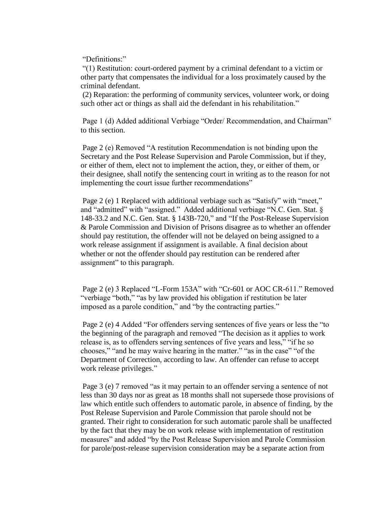"Definitions:"

"(1) Restitution: court-ordered payment by a criminal defendant to a victim or other party that compensates the individual for a loss proximately caused by the criminal defendant.

(2) Reparation: the performing of community services, volunteer work, or doing such other act or things as shall aid the defendant in his rehabilitation."

Page 1 (d) Added additional Verbiage "Order/ Recommendation, and Chairman" to this section.

Page 2 (e) Removed "A restitution Recommendation is not binding upon the Secretary and the Post Release Supervision and Parole Commission, but if they, or either of them, elect not to implement the action, they, or either of them, or their designee, shall notify the sentencing court in writing as to the reason for not implementing the court issue further recommendations"

Page 2 (e) 1 Replaced with additional verbiage such as "Satisfy" with "meet," and "admitted" with "assigned." Added additional verbiage "N.C. Gen. Stat. § 148-33.2 and N.C. Gen. Stat. § 143B-720," and "If the Post-Release Supervision & Parole Commission and Division of Prisons disagree as to whether an offender should pay restitution, the offender will not be delayed on being assigned to a work release assignment if assignment is available. A final decision about whether or not the offender should pay restitution can be rendered after assignment" to this paragraph.

Page 2 (e) 3 Replaced "L-Form 153A" with "Cr-601 or AOC CR-611." Removed "verbiage "both," "as by law provided his obligation if restitution be later imposed as a parole condition," and "by the contracting parties."

Page 2 (e) 4 Added "For offenders serving sentences of five years or less the "to the beginning of the paragraph and removed "The decision as it applies to work release is, as to offenders serving sentences of five years and less," "if he so chooses," "and he may waive hearing in the matter." "as in the case" "of the Department of Correction, according to law. An offender can refuse to accept work release privileges."

Page 3 (e) 7 removed "as it may pertain to an offender serving a sentence of not less than 30 days nor as great as 18 months shall not supersede those provisions of law which entitle such offenders to automatic parole, in absence of finding, by the Post Release Supervision and Parole Commission that parole should not be granted. Their right to consideration for such automatic parole shall be unaffected by the fact that they may be on work release with implementation of restitution measures" and added "by the Post Release Supervision and Parole Commission for parole/post-release supervision consideration may be a separate action from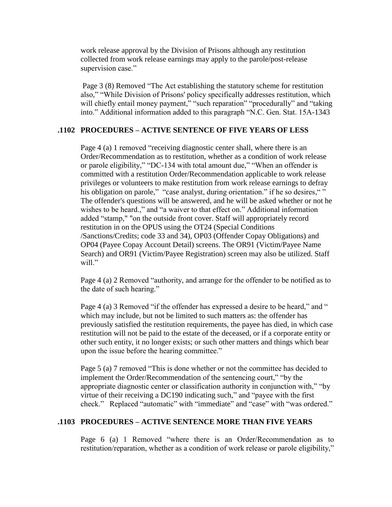work release approval by the Division of Prisons although any restitution collected from work release earnings may apply to the parole/post-release supervision case."

Page 3 (8) Removed "The Act establishing the statutory scheme for restitution also," "While Division of Prisons' policy specifically addresses restitution, which will chiefly entail money payment," "such reparation" "procedurally" and "taking into." Additional information added to this paragraph "N.C. Gen. Stat. 15A-1343

#### **.1102 PROCEDURES – ACTIVE SENTENCE OF FIVE YEARS OF LESS**

Page 4 (a) 1 removed "receiving diagnostic center shall, where there is an Order/Recommendation as to restitution, whether as a condition of work release or parole eligibility," "DC-134 with total amount due," "When an offender is committed with a restitution Order/Recommendation applicable to work release privileges or volunteers to make restitution from work release earnings to defray his obligation on parole," "case analyst, during orientation." if he so desires, "" The offender's questions will be answered, and he will be asked whether or not he wishes to be heard.," and "a waiver to that effect on." Additional information added "stamp," "on the outside front cover. Staff will appropriately record restitution in on the OPUS using the OT24 (Special Conditions /Sanctions/Credits; code 33 and 34), OP03 (Offender Copay Obligations) and OP04 (Payee Copay Account Detail) screens. The OR91 (Victim/Payee Name Search) and OR91 (Victim/Payee Registration) screen may also be utilized. Staff will."

Page 4 (a) 2 Removed "authority, and arrange for the offender to be notified as to the date of such hearing."

Page 4 (a) 3 Removed "if the offender has expressed a desire to be heard," and " which may include, but not be limited to such matters as: the offender has previously satisfied the restitution requirements, the payee has died, in which case restitution will not be paid to the estate of the deceased, or if a corporate entity or other such entity, it no longer exists; or such other matters and things which bear upon the issue before the hearing committee."

Page 5 (a) 7 removed "This is done whether or not the committee has decided to implement the Order/Recommendation of the sentencing court," "by the appropriate diagnostic center or classification authority in conjunction with," "by virtue of their receiving a DC190 indicating such," and "payee with the first check." Replaced "automatic" with "immediate" and "case" with "was ordered."

#### **.1103 PROCEDURES – ACTIVE SENTENCE MORE THAN FIVE YEARS**

Page 6 (a) 1 Removed "where there is an Order/Recommendation as to restitution/reparation, whether as a condition of work release or parole eligibility,"